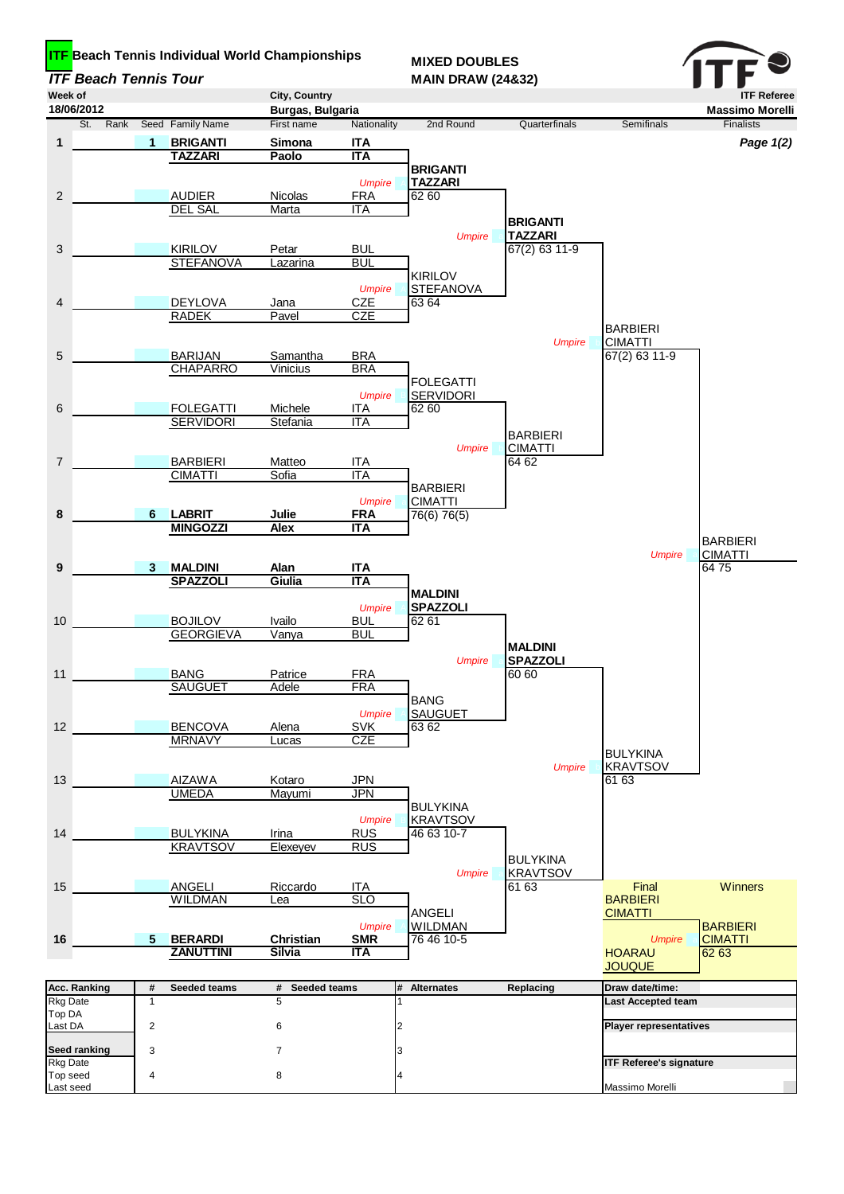| <b>ITF Beach Tennis Tour</b><br>Week of |                                     |                                      | City, Country               |                             | <b>MAIN DRAW (24&amp;32)</b>  |                                 |                                | <b>ITF Referee</b>      |
|-----------------------------------------|-------------------------------------|--------------------------------------|-----------------------------|-----------------------------|-------------------------------|---------------------------------|--------------------------------|-------------------------|
| 18/06/2012                              |                                     |                                      | Burgas, Bulgaria            | Nationality                 | 2nd Round                     | Quarterfinals                   |                                | <b>Massimo Morelli</b>  |
| St.<br>Rank<br>1                        | 1                                   | Seed Family Name<br><b>BRIGANTI</b>  | First name<br>Simona        | <b>ITA</b>                  |                               |                                 | Semifinals                     | Finalists               |
|                                         |                                     | <b>TAZZARI</b>                       | Paolo                       | <b>ITA</b>                  |                               |                                 |                                | Page 1(2)               |
|                                         |                                     |                                      |                             |                             | <b>BRIGANTI</b>               |                                 |                                |                         |
| $\overline{c}$                          |                                     | <b>AUDIER</b>                        | <b>Nicolas</b>              | <b>Umpire</b><br><b>FRA</b> | <b>TAZZARI</b><br>62 60       |                                 |                                |                         |
|                                         |                                     | <b>DEL SAL</b>                       | Marta                       | <b>ITA</b>                  |                               |                                 |                                |                         |
|                                         |                                     |                                      |                             |                             |                               | <b>BRIGANTI</b>                 |                                |                         |
| 3                                       |                                     | <b>KIRILOV</b>                       | Petar                       | <b>BUL</b>                  | <b>Umpire</b>                 | <b>TAZZARI</b><br>67(2) 63 11-9 |                                |                         |
|                                         |                                     | <b>STEFANOVA</b>                     | Lazarina                    | <b>BUL</b>                  |                               |                                 |                                |                         |
|                                         |                                     |                                      |                             |                             | <b>KIRILOV</b>                |                                 |                                |                         |
|                                         |                                     |                                      |                             | <b>Umpire</b>               | <b>STEFANOVA</b>              |                                 |                                |                         |
| 4                                       |                                     | <b>DEYLOVA</b><br><b>RADEK</b>       | Jana<br>Pavel               | <b>CZE</b><br><b>CZE</b>    | 63 64                         |                                 |                                |                         |
|                                         |                                     |                                      |                             |                             |                               |                                 | <b>BARBIERI</b>                |                         |
|                                         |                                     |                                      |                             |                             |                               | <b>Umpire</b>                   | <b>CIMATTI</b>                 |                         |
| 5                                       |                                     | <b>BARIJAN</b><br><b>CHAPARRO</b>    | Samantha<br><b>Vinicius</b> | <b>BRA</b><br><b>BRA</b>    |                               |                                 | 67(2) 63 11-9                  |                         |
|                                         |                                     |                                      |                             |                             | <b>FOLEGATTI</b>              |                                 |                                |                         |
|                                         |                                     |                                      |                             | <b>Umpire</b>               | <b>SERVIDORI</b>              |                                 |                                |                         |
| 6                                       |                                     | <b>FOLEGATTI</b><br><b>SERVIDORI</b> | Michele<br>Stefania         | <b>ITA</b><br><b>ITA</b>    | 62 60                         |                                 |                                |                         |
|                                         |                                     |                                      |                             |                             |                               | <b>BARBIERI</b>                 |                                |                         |
|                                         |                                     |                                      |                             |                             | <b>Umpire</b>                 | <b>CIMATTI</b>                  |                                |                         |
| $\overline{7}$                          |                                     | <b>BARBIERI</b><br><b>CIMATTI</b>    | Matteo<br>Sofia             | <b>ITA</b><br><b>ITA</b>    |                               | 64 62                           |                                |                         |
|                                         |                                     |                                      |                             |                             | <b>BARBIERI</b>               |                                 |                                |                         |
|                                         |                                     |                                      |                             | <b>Umpire</b>               | <b>CIMATTI</b>                |                                 |                                |                         |
| 8                                       | 6                                   | <b>LABRIT</b><br><b>MINGOZZI</b>     | Julie<br><b>Alex</b>        | <b>FRA</b><br><b>ITA</b>    | 76(6) 76(5)                   |                                 |                                |                         |
|                                         |                                     |                                      |                             |                             |                               |                                 |                                | <b>BARBIERI</b>         |
|                                         |                                     |                                      |                             |                             |                               |                                 | <b>Umpire</b>                  | <b>CIMATTI</b><br>6475  |
| 9                                       | 3                                   | <b>MALDINI</b><br><b>SPAZZOLI</b>    | Alan<br>Giulia              | <b>ITA</b><br><b>ITA</b>    |                               |                                 |                                |                         |
|                                         |                                     |                                      |                             |                             | <b>MALDINI</b>                |                                 |                                |                         |
|                                         |                                     | <b>BOJILOV</b>                       |                             | <b>Umpire</b>               | <b>SPAZZOLI</b>               |                                 |                                |                         |
| 10                                      |                                     | <b>GEORGIEVA</b>                     | Ivailo<br>Vanya             | <b>BUL</b><br><b>BUL</b>    | 62 61                         |                                 |                                |                         |
|                                         |                                     |                                      |                             |                             |                               | <b>MALDINI</b>                  |                                |                         |
|                                         |                                     | <b>BANG</b>                          |                             | <b>FRA</b>                  | <b>Umpire</b>                 | <b>SPAZZOLI</b>                 |                                |                         |
| 11                                      |                                     | <b>SAUGUET</b>                       | Patrice<br>Adele            | <b>FRA</b>                  |                               | 60 60                           |                                |                         |
|                                         |                                     |                                      |                             |                             | <b>BANG</b>                   |                                 |                                |                         |
|                                         |                                     |                                      |                             | <b>Umpire</b>               | <b>SAUGUET</b>                |                                 |                                |                         |
| 12                                      |                                     | <b>BENCOVA</b><br><b>MRNAVY</b>      | Alena<br>Lucas              | <b>SVK</b><br><b>CZE</b>    | 63 62                         |                                 |                                |                         |
|                                         |                                     |                                      |                             |                             |                               |                                 | <b>BULYKINA</b>                |                         |
|                                         |                                     | <b>AIZAWA</b>                        |                             |                             |                               | <b>Umpire</b>                   | <b>KRAVTSOV</b><br>61 63       |                         |
| 13                                      |                                     | <b>UMEDA</b>                         | Kotaro<br>Mayumi            | <b>JPN</b><br><b>JPN</b>    |                               |                                 |                                |                         |
|                                         |                                     |                                      |                             |                             | <b>BULYKINA</b>               |                                 |                                |                         |
|                                         |                                     | <b>BULYKINA</b>                      |                             | <b>Umpire</b>               | <b>KRAVTSOV</b><br>46 63 10-7 |                                 |                                |                         |
| 14                                      |                                     | <b>KRAVTSOV</b>                      | Irina<br>Elexeyev           | <u>RUS</u><br><b>RUS</b>    |                               |                                 |                                |                         |
|                                         |                                     |                                      |                             |                             |                               | <b>BULYKINA</b>                 |                                |                         |
|                                         |                                     |                                      |                             |                             | <b>Umpire</b>                 | <b>KRAVTSOV</b>                 |                                |                         |
| 15                                      |                                     | <b>ANGELI</b><br><b>WILDMAN</b>      | Riccardo<br>Lea             | <b>ITA</b><br><b>SLO</b>    |                               | 61 63                           | Final<br><b>BARBIERI</b>       | <b>Winners</b>          |
|                                         |                                     |                                      |                             |                             | <b>ANGELI</b>                 |                                 | <b>CIMATTI</b>                 |                         |
|                                         |                                     |                                      |                             | <b>Umpire</b>               | <b>WILDMAN</b>                |                                 |                                | <b>BARBIERI</b>         |
| 16                                      | 5 <sup>5</sup>                      | <b>BERARDI</b><br><b>ZANUTTINI</b>   | Christian<br>Silvia         | <b>SMR</b><br><b>ITA</b>    | 76 46 10-5                    |                                 | <b>Umpire</b><br><b>HOARAU</b> | <b>CIMATTI</b><br>62 63 |
|                                         |                                     |                                      |                             |                             |                               |                                 | <b>JOUQUE</b>                  |                         |
| <b>Acc. Ranking</b>                     | #<br>Seeded teams<br># Seeded teams |                                      | <b>Alternates</b><br>#      | Replacing                   | Draw date/time:               |                                 |                                |                         |
| <b>Rkg Date</b>                         | $\mathbf{1}$                        |                                      | 5                           |                             |                               |                                 | Last Accepted team             |                         |
| Top DA<br>Last DA                       | $\overline{2}$                      |                                      | 6                           |                             |                               |                                 | <b>Player representatives</b>  |                         |
|                                         |                                     |                                      |                             |                             |                               |                                 |                                |                         |
| <b>Seed ranking</b>                     | 3                                   |                                      | $\overline{7}$              |                             |                               |                                 | <b>ITF Referee's signature</b> |                         |
| <b>Rkg Date</b><br>Top seed             | $\overline{\mathbf{4}}$             |                                      | 8                           |                             |                               |                                 |                                |                         |
| Last seed                               |                                     |                                      |                             |                             |                               |                                 | Massimo Morelli                |                         |